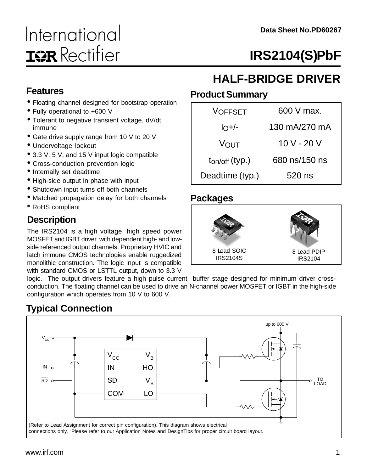# International **IGR** Rectifier

# **IRS2104(S)PbF**

### **Features**

- Floating channel designed for bootstrap operation
- Fully operational to +600 V
- Tolerant to negative transient voltage, dV/dt immune
- Gate drive supply range from 10 V to 20 V
- Undervoltage lockout
- 3.3 V, 5 V, and 15 V input logic compatible
- Cross-conduction prevention logic
- Internally set deadtime
- High-side output in phase with input
- Shutdown input turns off both channels
- Matched propagation delay for both channels
- RoHS compliant

### **Description**

The IRS2104 is a high voltage, high speed power MOSFET and IGBT driver with dependent high- and lowside referenced output channels. Proprietary HVIC and latch immune CMOS technologies enable ruggedized monolithic construction. The logic input is compatible with standard CMOS or LSTTL output, down to 3.3 V

# **HALF-BRIDGE DRIVER**

#### **Product Summary**

| <b>VOFFSET</b>                    | $600$ V max.  |
|-----------------------------------|---------------|
| $I_O+/-$                          | 130 mA/270 mA |
| Vουτ                              | 10 V - 20 V   |
| $t_{\text{on}/\text{off}}$ (typ.) | 680 ns/150 ns |
| Deadtime (typ.)                   | 520 ns        |

#### **Packages**



logic. The output drivers feature a high pulse current buffer stage designed for minimum driver crossconduction. The floating channel can be used to drive an N-channel power MOSFET or IGBT in the high-side configuration which operates from 10 V to 600 V.

### **Typical Connection**

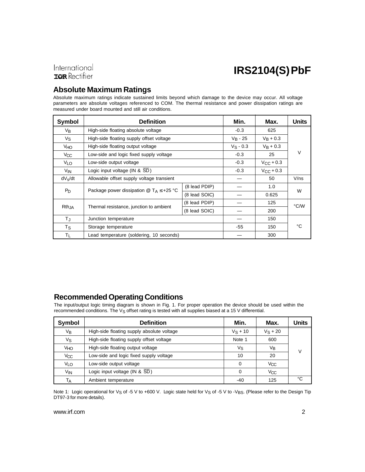### International **IOR** Rectifier

# **IRS2104(S) PbF**

### **Absolute Maximum Ratings**

Absolute maximum ratings indicate sustained limits beyond which damage to the device may occur. All voltage parameters are absolute voltages referenced to COM. The thermal resistance and power dissipation ratings are measured under board mounted and still air conditions.

| <b>Symbol</b>   | <b>Definition</b>                                                                        | Min.          | Max.               | <b>Units</b>       |      |
|-----------------|------------------------------------------------------------------------------------------|---------------|--------------------|--------------------|------|
| $V_{B}$         | High-side floating absolute voltage                                                      | $-0.3$        | 625                |                    |      |
| Vs              | High-side floating supply offset voltage                                                 |               | $V_B - 25$         | $V_R + 0.3$        |      |
| VHO             | High-side floating output voltage                                                        |               | $V_S - 0.3$        | $V_{\rm B} + 0.3$  |      |
| V <sub>CC</sub> | Low-side and logic fixed supply voltage                                                  |               | $-0.3$             | 25                 | V    |
| VLO             | Low-side output voltage                                                                  |               | $-0.3$             | $V_{\rm CC}$ + 0.3 |      |
| V <sub>IN</sub> | Logic input voltage (IN & SD)                                                            | $-0.3$        | $V_{\rm CC}$ + 0.3 |                    |      |
| $dV_s/dt$       | Allowable offset supply voltage transient                                                |               | 50                 | V/ns               |      |
|                 | Package power dissipation $\textcircled{a}$ T <sub>A</sub> $\leq$ +25 °C                 | (8 lead PDIP) |                    | 1.0                | W    |
| $P_{D}$         |                                                                                          | (8 lead SOIC) |                    | 0.625              |      |
|                 | (8 lead PDIP)<br>$Rth_{,IA}$<br>Thermal resistance, junction to ambient<br>(8 lead SOIC) |               |                    | 125                | °C/W |
|                 |                                                                                          |               |                    | 200                |      |
| $T_{\rm J}$     | Junction temperature                                                                     |               |                    | 150                |      |
| $T_{\rm S}$     | Storage temperature                                                                      |               | -55                | 150                | °C   |
| Τı              | Lead temperature (soldering, 10 seconds)                                                 |               |                    | 300                |      |

#### **Recommended Operating Conditions**

The input/output logic timing diagram is shown in Fig. 1. For proper operation the device should be used within the recommended conditions. The V<sub>S</sub> offset rating is tested with all supplies biased at a 15 V differential.

| <b>Symbol</b>   | <b>Definition</b>                           | Min.       | Max.       | <b>Units</b> |
|-----------------|---------------------------------------------|------------|------------|--------------|
| Vв              | High-side floating supply absolute voltage  | $V_S + 10$ | $V_S + 20$ |              |
| Vs              | High-side floating supply offset voltage    | Note 1     | 600        |              |
| Уно             | High-side floating output voltage           | Vs         | VB         | v            |
| Vcc             | Low-side and logic fixed supply voltage     | 10         | 20         |              |
| VLO             | Low-side output voltage                     | $\Omega$   | Vcc        |              |
| V <sub>IN</sub> | Logic input voltage (IN & $\overline{SD}$ ) | 0          | Vcc        |              |
| Tд              | Ambient temperature                         | -40        | 125        | °C           |

Note 1: Logic operational for V<sub>S</sub> of -5 V to +600 V. Logic state held for V<sub>S</sub> of -5 V to -V<sub>BS</sub>. (Please refer to the Design Tip DT97-3 for more details).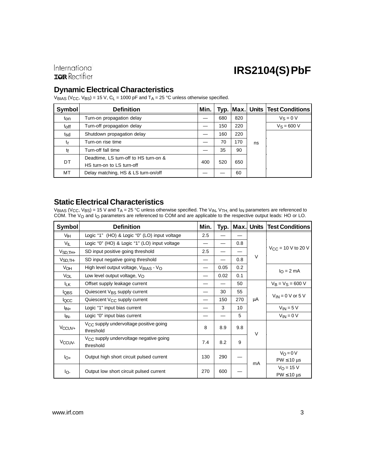International **IOR** Rectifier

# **IRS2104(S) PbF**

#### **Dynamic Electrical Characteristics**

 $V_{\text{BIAS}}$  (V<sub>CC</sub>, V<sub>BS</sub>) = 15 V, C<sub>L</sub> = 1000 pF and T<sub>A</sub> = 25 °C unless otherwise specified.

| <b>Symbol</b> | <b>Definition</b>                     | Min. |     |     |    | Typ. Max. Units Test Conditions |     |  |  |
|---------------|---------------------------------------|------|-----|-----|----|---------------------------------|-----|--|--|
| ton           | Turn-on propagation delay             |      | 680 | 820 |    | $V_S = 0 V$                     |     |  |  |
| toff          | Turn-off propagation delay            |      | 150 | 220 |    | $V_S = 600 V$                   |     |  |  |
| tsd           | Shutdown propagation delay            |      | 160 | 220 |    |                                 |     |  |  |
| tr            | Turn-on rise time                     |      | 70  | 170 | ns |                                 |     |  |  |
| tf            | Turn-off fall time                    |      | 35  | 90  |    |                                 |     |  |  |
| DT.           | Deadtime, LS turn-off to HS turn-on & |      |     | 400 |    | 520                             | 650 |  |  |
|               | HS turn-on to LS turn-off             |      |     |     |    |                                 |     |  |  |
| МT            | Delay matching, HS & LS turn-on/off   |      |     | 60  |    |                                 |     |  |  |

#### **Static Electrical Characteristics**

 $V_{\sf BIAS}$  (V $_{\rm CC}$ , V $_{\sf BS})$  = 15 V and T $_{\sf A}$  = 25 °C unless otherwise specified. The V<sub>IN</sub>, V<sub>TH,</sub> and I<sub>IN</sub> parameters are referenced to COM. The V<sub>O</sub> and I<sub>O</sub> parameters are referenced to COM and are applicable to the respective output leads: HO or LO.

| <b>Symbol</b>         | <b>Definition</b>                                               | Min. | Typ. | Max. | Units  | <b>Test Conditions</b>                 |
|-----------------------|-----------------------------------------------------------------|------|------|------|--------|----------------------------------------|
| Vін                   | Logic "1" (HO) & Logic "0" (LO) input voltage                   | 2.5  |      |      |        |                                        |
| VIL                   | Logic "0" (HO) & Logic "1" (LO) input voltage                   |      |      | 0.8  |        |                                        |
| $VSD,TH+$             | SD input positive going threshold                               | 2.5  |      |      |        | $V_{\text{CC}} = 10 \text{ V}$ to 20 V |
| V <sub>SD</sub> , TH- | SD input negative going threshold                               |      |      | 0.8  | $\vee$ |                                        |
| VOH                   | High level output voltage, $V_{\text{BIAS}}$ - $V_{\text{O}}$   |      | 0.05 | 0.2  |        | $IO = 2 mA$                            |
| VOL                   | Low level output voltage, $V_O$                                 |      | 0.02 | 0.1  |        |                                        |
| <b>ILK</b>            | Offset supply leakage current                                   |      |      | 50   |        | $V_B = V_S = 600 V$                    |
| <b>IQBS</b>           | Quiescent V <sub>BS</sub> supply current                        |      | 30   | 55   |        | $V_{IN}$ = 0 V or 5 V                  |
| <b>IQCC</b>           | Quiescent V <sub>CC</sub> supply current                        |      | 150  | 270  | μA     |                                        |
| l <sub>IN+</sub>      | Logic "1" input bias current                                    |      | 3    | 10   |        | $V_{IN} = 5 V$                         |
| l <sub>IN-</sub>      | Logic "0" input bias current                                    |      |      | 5    |        | $V_{IN} = 0 V$                         |
| V <sub>CCUV+</sub>    | V <sub>CC</sub> supply undervoltage positive going<br>threshold | 8    | 8.9  | 9.8  | $\vee$ |                                        |
| V <sub>CCUV</sub>     | V <sub>CC</sub> supply undervoltage negative going<br>threshold | 7.4  | 8.2  | 9    |        |                                        |
| $I_{O+}$              | Output high short circuit pulsed current                        | 130  | 290  |      |        | $V_O = 0 V$                            |
|                       |                                                                 |      |      |      | mA     | $PW \leq 10 \text{ }\mu\text{s}$       |
| Io-                   | Output low short circuit pulsed current                         | 270  | 600  |      |        | $V_O = 15 V$<br>$PW \leq 10$ µs        |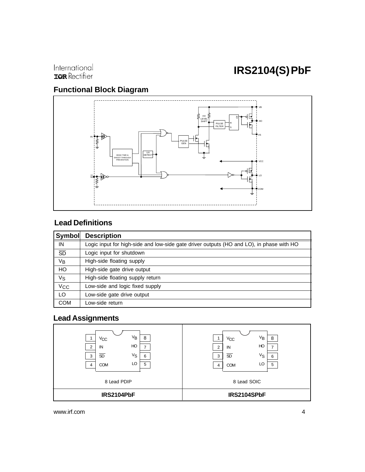International **IQR** Rectifier

### **Functional Block Diagram**



### **Lead Definitions**

| <b>Symbol</b>         | <b>Description</b>                                                                       |
|-----------------------|------------------------------------------------------------------------------------------|
| IN                    | Logic input for high-side and low-side gate driver outputs (HO and LO), in phase with HO |
| $\overline{SD}$       | Logic input for shutdown                                                                 |
| <b>V<sub>B</sub></b>  | High-side floating supply                                                                |
| HO                    | High-side gate drive output                                                              |
| Vs                    | High-side floating supply return                                                         |
| <b>V<sub>CC</sub></b> | Low-side and logic fixed supply                                                          |
| LO                    | Low-side gate drive output                                                               |
| <b>COM</b>            | Low-side return                                                                          |

### **Lead Assignments**

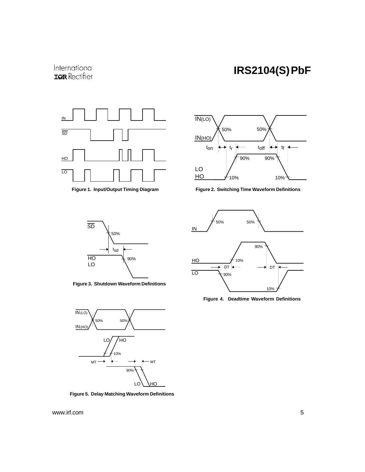### International **IOR** Rectifier

### **IRS2104(S) PbF**



**Figure 1. Input/Output Timing Diagram**



**Figure 2. Switching Time Waveform Definitions**



**Figure 3. Shutdown Waveform Definitions**



**Figure 5. Delay Matching Waveform Definitions**

50% 50% IN 90%  $\underline{HO}$ 10%  $DT \leftarrow \rightarrow DT$ ١÷  $\overline{\phantom{0}}$  LO  $\phantom{0}$   $\overline{\phantom{0}}$   $\phantom{0}$   $\phantom{0}$   $\phantom{0}$   $\phantom{0}$   $\phantom{0}$   $\phantom{0}$   $\phantom{0}$   $\phantom{0}$   $\phantom{0}$   $\phantom{0}$   $\phantom{0}$   $\phantom{0}$   $\phantom{0}$   $\phantom{0}$   $\phantom{0}$   $\phantom{0}$   $\phantom{0}$   $\phantom{0}$   $\phantom{0}$   $\phantom{0}$   $\phantom{$ 10%

**Figure 4. Deadtime Waveform Definitions**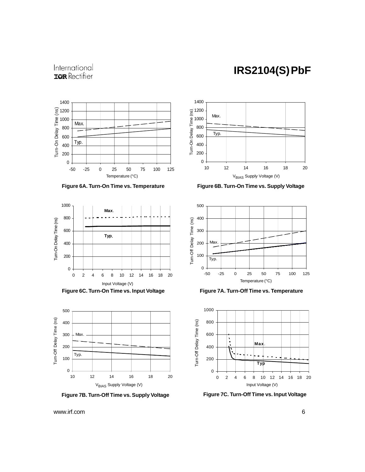### International **IOR** Rectifier







**Figure 6C. Turn-On Time vs. Input Voltage**



**Figure 7B. Turn-Off Time vs. Supply Voltage**



**Figure 6A. Turn-On Time vs. Temperature Figure 6B. Turn-On Time vs. Supply Voltage**



**Figure 7A. Turn-Off Time vs. Temperature**



**Figure 7C. Turn-Off Time vs. Input Voltage**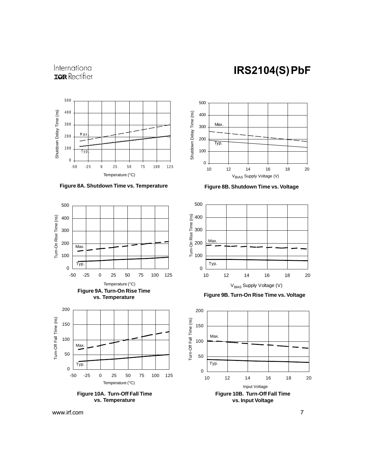### International **IQR** Rectifier







![](_page_6_Figure_5.jpeg)

![](_page_6_Figure_6.jpeg)

10 12 14 16 18 20

0

100

200

300 400

**Max** 

Typ.

500

![](_page_6_Figure_7.jpeg)

**Figure 9B. Turn-On Rise Time vs. Voltage** 

![](_page_6_Figure_9.jpeg)

www.irf.com 7 and 7 and 7 and 7 and 7 and 7 and 7 and 7 and 7 and 7 and 7 and 7 and 7 and 7 and 7 and 7 and 7 and 7 and 7 and 7 and 7 and 7 and 7 and 7 and 7 and 7 and 7 and 7 and 7 and 7 and 7 and 7 and 7 and 7 and 7 and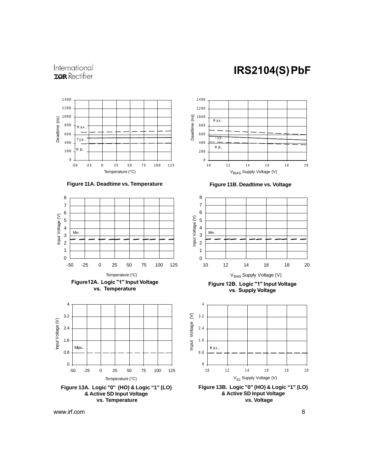### International **ISR** Rectifier

![](_page_7_Figure_2.jpeg)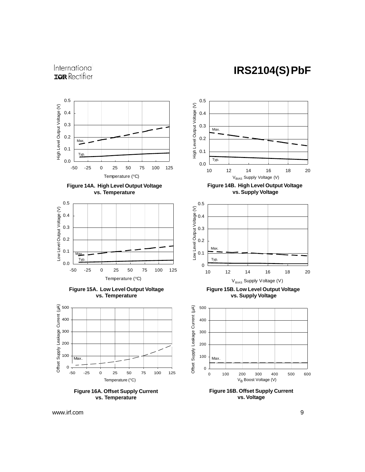### International **ISR** Rectifier

![](_page_8_Figure_2.jpeg)

**vs. Temperature**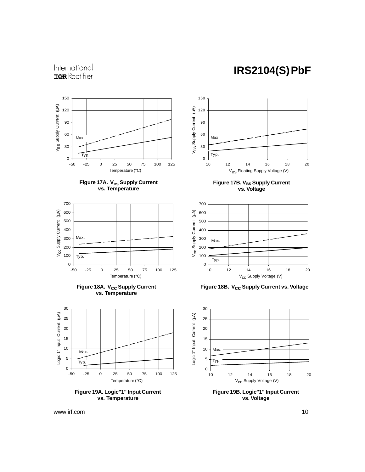### International **IOR** Rectifier

![](_page_9_Figure_2.jpeg)

![](_page_9_Figure_3.jpeg)

![](_page_9_Figure_4.jpeg)

![](_page_9_Figure_5.jpeg)

![](_page_9_Figure_6.jpeg)

![](_page_9_Figure_7.jpeg)

![](_page_9_Figure_8.jpeg)

**Figure 17B. V<sub>BS</sub> Supply Current vs. Voltage**

![](_page_9_Figure_10.jpeg)

**Figure 18B. Vcc Supply Current vs. Voltage**

![](_page_9_Figure_12.jpeg)

**vs. Voltage**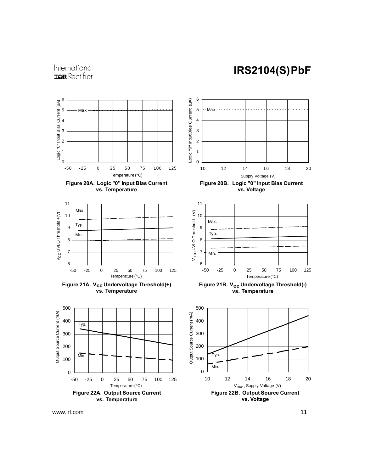![](_page_10_Figure_1.jpeg)

![](_page_10_Figure_2.jpeg)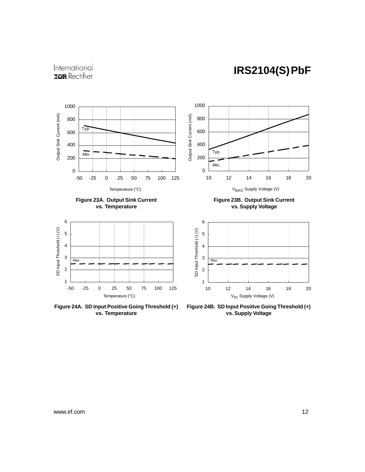### International **IQR** Rectifier

![](_page_11_Figure_2.jpeg)

![](_page_11_Figure_3.jpeg)

![](_page_11_Figure_4.jpeg)

**Figure 24A. SD Input Positive Going Threshold (+) vs. Temperature**

**Figure 23B. Output Sink Current vs. Supply Voltage**

![](_page_11_Figure_7.jpeg)

**Figure 24B. SD Input Positive Going Threshold (+) vs. Supply Voltage**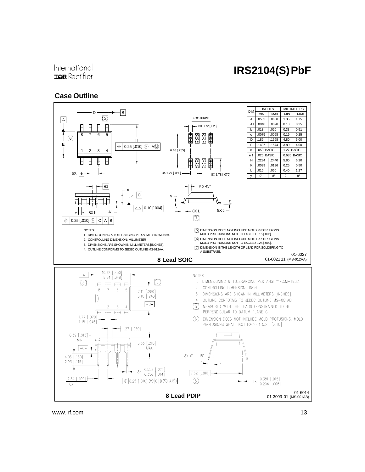#### International **IOR** Rectifier

#### **Case Outline**

![](_page_12_Figure_3.jpeg)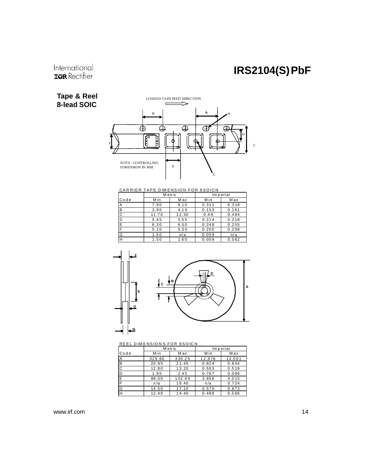### International **IQR** Rectifier

#### **Tape & Reel 8-lead SOIC**

![](_page_13_Figure_3.jpeg)

CARRIER TAPE DIMENSION FOR 8SOICN

|      | M etric |       |       | Imperial |  |
|------|---------|-------|-------|----------|--|
| Code | Min     | Max   | Min   | Max      |  |
| A    | 7.90    | 8.10  | 0.311 | 0.318    |  |
| B    | 3.90    | 4.10  | 0.153 | 0.161    |  |
| C    | 11.70   | 12.30 | 0.46  | 0.484    |  |
| D    | 5.45    | 5.55  | 0.214 | 0.218    |  |
| E    | 6.30    | 6.50  | 0.248 | 0.255    |  |
| F    | 5.10    | 5.30  | 0.200 | 0.208    |  |
| G    | 1.50    | n/a   | 0.059 | n/a      |  |
| H    | 1.50    | 1.60  | 0.059 | 0.062    |  |

![](_page_13_Figure_6.jpeg)

REEL DIMENSIONS FOR 8SOICN

|      | M etric |        | Imperial |        |
|------|---------|--------|----------|--------|
| Code | Min     | Max    | Min      | M ax   |
| А    | 329.60  | 330.25 | 12.976   | 13.001 |
| B    | 20.95   | 21.45  | 0.824    | 0.844  |
| С    | 12.80   | 13.20  | 0.503    | 0.519  |
| D    | 1.95    | 2.45   | 0.767    | 0.096  |
| E    | 98.00   | 102.00 | 3.858    | 4.015  |
| F.   | n/a     | 18.40  | n/a      | 0.724  |
| G    | 14.50   | 17.10  | 0.570    | 0.673  |
| H    | 12.40   | 14.40  | 0.488    | 0.566  |